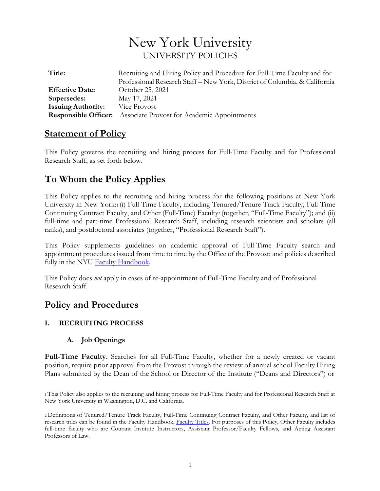# New York University UNIVERSITY POLICIES

| Title:                    | Recruiting and Hiring Policy and Procedure for Full-Time Faculty and for<br>Professional Research Staff - New York, District of Columbia, & California |
|---------------------------|--------------------------------------------------------------------------------------------------------------------------------------------------------|
| <b>Effective Date:</b>    | October 25, 2021                                                                                                                                       |
| Supersedes:               | May 17, 2021                                                                                                                                           |
| <b>Issuing Authority:</b> | Vice Provost                                                                                                                                           |
|                           | <b>Responsible Officer:</b> Associate Provost for Academic Appointments                                                                                |

# **Statement of Policy**

This Policy governs the recruiting and hiring process for Full-Time Faculty and for Professional Research Staff, as set forth below.

# **To Whom the Policy Applies**

This Policy applies to the recruiting and hiring process for the following positions at New York University in New York:1 (i) Full-Time Faculty, including Tenured/Tenure Track Faculty, Full-Time Continuing Contract Faculty, and Other (Full-Time) Faculty2 (together, "Full-Time Faculty"); and (ii) full-time and part-time Professional Research Staff, including research scientists and scholars (all ranks), and postdoctoral associates (together, "Professional Research Staff").

This Policy supplements guidelines on academic approval of Full-Time Faculty search and appointment procedures issued from time to time by the Office of the Provost; and policies described fully in the NYU Faculty [Handbook.](http://www.nyu.edu/faculty/governance-policies-and-procedures/faculty-handbook.html)

This Policy does *not* apply in cases of re-appointment of Full-Time Faculty and of Professional Research Staff.

# **Policy and Procedures**

# **I. RECRUITING PROCESS**

#### **A. Job Openings**

**Full-Time Faculty.** Searches for all Full-Time Faculty, whether for a newly created or vacant position, require prior approval from the Provost through the review of annual school Faculty Hiring Plans submitted by the Dean of the School or Director of the Institute ("Deans and Directors") or

1 This Policy also applies to the recruiting and hiring process for Full-Time Faculty and for Professional Research Staff at New York University in Washington, D.C. and California.

2 Definitions of Tenured/Tenure Track Faculty, Full-Time Continuing Contract Faculty, and Other Faculty, and list of research titles can be found in the Faculty Handbook, [Faculty Titles. F](http://www.nyu.edu/faculty/governance-policies-and-procedures/faculty-handbook/the-faculty/faculty-membership-meetings-and-titles/faculty-titles.html)or purposes of this Policy, Other Faculty includes full-time faculty who are Courant Institute Instructors, Assistant Professor/Faculty Fellows, and Acting Assistant Professors of Law.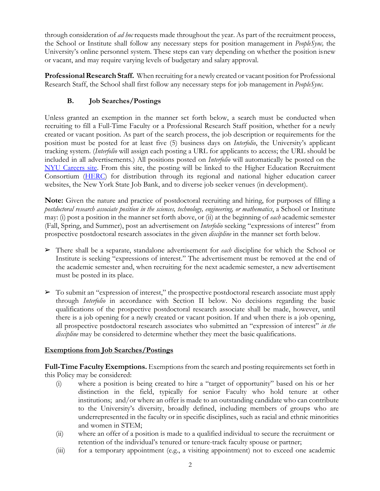through consideration of *ad hoc* requests made throughout the year. As part of the recruitment process, the School or Institute shall follow any necessary steps for position management in *PeopleSync,* the University's online personnel system. These steps can vary depending on whether the position isnew or vacant, and may require varying levels of budgetary and salary approval.

**Professional Research Staff.** When recruiting for a newly created or vacant position for Professional Research Staff, the School shall first follow any necessary steps for job management in *PeopleSync*.

# **B. Job Searches/Postings**

Unless granted an exemption in the manner set forth below, a search must be conducted when recruiting to fill a Full-Time Faculty or a Professional Research Staff position, whether for a newly created or vacant position. As part of the search process, the job description or requirements for the position must be posted for at least five (5) business days on *Interfolio*, the University's applicant tracking system. (*Interfolio* will assign each posting a URL for applicants to access; the URL should be included in all advertisements.) All positions posted on *Interfolio* will automatically be posted on the [NYU Careers site. F](https://www.nyu.edu/about/careers-at-nyu.html)rom this site, the posting will be linked to the Higher Education Recruitment Consortium [\(HERC\)](https://www.hercjobs.org/index.html) for distribution through its regional and national higher education career websites, the New York State Job Bank, and to diverse job seeker venues (in development).

**Note:** Given the nature and practice of postdoctoral recruiting and hiring, for purposes of filling a *postdoctoral research associate position in the sciences, technology, engineering, or mathematics*, a School or Institute may: (i) post a position in the manner set forth above, or (ii) at the beginning of *each* academic semester (Fall, Spring, and Summer), post an advertisement on *Interfolio* seeking "expressions of interest" from prospective postdoctoral research associates in the given *discipline* in the manner set forth below.

- ➢ There shall be a separate, standalone advertisement for *each* discipline for which the School or Institute is seeking "expressions of interest." The advertisement must be removed at the end of the academic semester and, when recruiting for the next academic semester, a new advertisement must be posted in its place.
- ➢ To submit an "expression of interest," the prospective postdoctoral research associate must apply through *Interfolio* in accordance with Section II below. No decisions regarding the basic qualifications of the prospective postdoctoral research associate shall be made, however, until there is a job opening for a newly created or vacant position. If and when there is a job opening, all prospective postdoctoral research associates who submitted an "expression of interest" *in the discipline* may be considered to determine whether they meet the basic qualifications.

# **Exemptions from Job Searches/Postings**

**Full-Time Faculty Exemptions.** Exemptions from the search and posting requirements set forth in this Policy may be considered:

- (i) where a position is being created to hire a "target of opportunity" based on his or her distinction in the field, typically for senior Faculty who hold tenure at other institutions; and/or where an offer is made to an outstanding candidate who can contribute to the University's diversity, broadly defined, including members of groups who are underrepresented in the faculty or in specific disciplines, such as racial and ethnic minorities and women in STEM;
- (ii) where an offer of a position is made to a qualified individual to secure the recruitment or retention of the individual's tenured or tenure-track faculty spouse or partner;
- (iii) for a temporary appointment (e.g., a visiting appointment) not to exceed one academic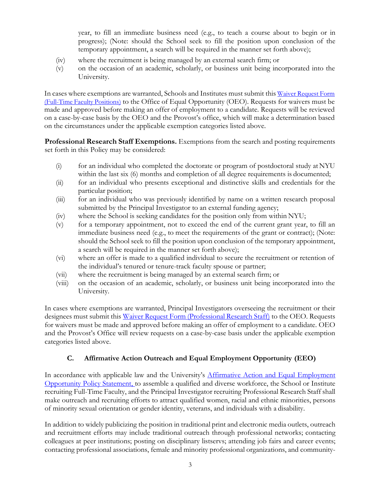year, to fill an immediate business need (e.g., to teach a course about to begin or in progress); (Note: should the School seek to fill the position upon conclusion of the temporary appointment, a search will be required in the manner set forth above);

- (iv) where the recruitment is being managed by an external search firm; or
- (v) on the occasion of an academic, scholarly, or business unit being incorporated into the University.

In cases where exemptions are warranted, Schools and Institutes must submit this [Waiver Request Form](https://www.nyu.edu/content/dam/nyu/compliance/documents/Fillable_Waiver_FTimeFaculty-20211025.pdf) [\(Full-Time](https://www.nyu.edu/content/dam/nyu/compliance/documents/Fillable_Waiver_FTimeFaculty-20211025.pdf) Faculty Positions) to the Office of Equal Opportunity (OEO). Requests for waivers must be made and approved before making an offer of employment to a candidate. Requests will be reviewed on a case-by-case basis by the OEO and the Provost's office, which will make a determination based on the circumstances under the applicable exemption categories listed above.

**Professional Research Staff Exemptions.** Exemptions from the search and posting requirements set forth in this Policy may be considered:

- $(i)$  for an individual who completed the doctorate or program of postdoctoral study at NYU within the last six (6) months and completion of all degree requirements is documented;
- (ii) for an individual who presents exceptional and distinctive skills and credentials for the particular position;
- (iii) for an individual who was previously identified by name on a written research proposal submitted by the Principal Investigator to an external funding agency;
- (iv) where the School is seeking candidates for the position only from within NYU;
- (v) for a temporary appointment, not to exceed the end of the current grant year, to fill an immediate business need (e.g., to meet the requirements of the grant or contract); (Note: should the School seek to fill the position upon conclusion of the temporary appointment, a search will be required in the manner set forth above);
- (vi) where an offer is made to a qualified individual to secure the recruitment or retention of the individual's tenured or tenure-track faculty spouse or partner;
- (vii) where the recruitment is being managed by an external search firm; or
- (viii) on the occasion of an academic, scholarly, or business unit being incorporated into the University.

In cases where exemptions are warranted, Principal Investigators overseeing the recruitment or their designees must submit this Waiver Request Form [\(Professional](http://www.nyu.edu/content/dam/nyu/compliance/documents/Fillable_Waiver_Staff.pdf) Research Staff) to the OEO. Requests for waivers must be made and approved before making an offer of employment to a candidate. OEO and the Provost's Office will review requests on a case-by-case basis under the applicable exemption categories listed above.

#### **C. Affirmative Action Outreach and Equal Employment Opportunity (EEO)**

In accordance with applicable law and the University's [Affirmative Action and Equal Employment](http://www.nyu.edu/content/dam/nyu/hr/documents/policies/AffiirmativeActionEqualEmploymentOpportunityPolicyStatement.pdf) [Opportunity Policy Statement,](http://www.nyu.edu/content/dam/nyu/hr/documents/policies/AffiirmativeActionEqualEmploymentOpportunityPolicyStatement.pdf) to assemble a qualified and diverse workforce, the School or Institute recruiting Full-Time Faculty, and the Principal Investigator recruiting Professional Research Staff shall make outreach and recruiting efforts to attract qualified women, racial and ethnic minorities, persons of minority sexual orientation or gender identity, veterans, and individuals with a disability.

In addition to widely publicizing the position in traditional print and electronic media outlets, outreach and recruitment efforts may include traditional outreach through professional networks; contacting colleagues at peer institutions; posting on disciplinary listservs; attending job fairs and career events; contacting professional associations, female and minority professional organizations, and community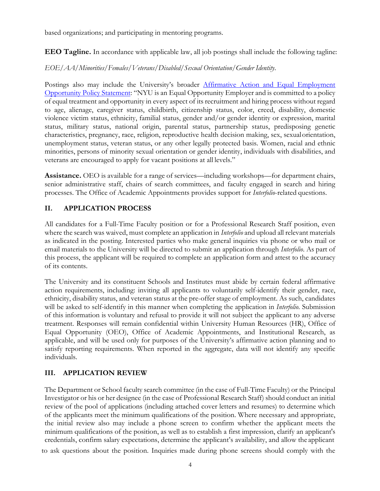based organizations; and participating in mentoring programs.

**EEO Tagline.** In accordance with applicable law, all job postings shall include the following tagline:

#### *EOE/AA/Minorities/Females/Veterans/Disabled/Sexual Orientation/Gender Identity*.

Postings also may include the University's broader [Affirmative Action and Equal Employment](http://www.nyu.edu/about/careers-at-nyu.html) [Opportunity](http://www.nyu.edu/about/careers-at-nyu.html) Policy Statement: "NYU is an Equal Opportunity Employer and is committed to a policy of equal treatment and opportunity in every aspect of its recruitment and hiring process without regard to age, alienage, caregiver status, childbirth, citizenship status, color, creed, disability, domestic violence victim status, ethnicity, familial status, gender and/or gender identity or expression, marital status, military status, national origin, parental status, partnership status, predisposing genetic characteristics, pregnancy, race, religion, reproductive health decision making, sex, sexualorientation, unemployment status, veteran status, or any other legally protected basis. Women, racial and ethnic minorities, persons of minority sexual orientation or gender identity, individuals with disabilities, and veterans are encouraged to apply for vacant positions at all levels."

**Assistance.** OEO is available for a range of services—including workshops—for department chairs, senior administrative staff, chairs of search committees, and faculty engaged in search and hiring processes. The Office of Academic Appointments provides support for *Interfolio*-related questions.

#### **II. APPLICATION PROCESS**

All candidates for a Full-Time Faculty position or for a Professional Research Staff position, even where the search was waived, must complete an application in *Interfolio* and upload all relevant materials as indicated in the posting. Interested parties who make general inquiries via phone or who mail or email materials to the University will be directed to submit an application through *Interfolio*. As part of this process, the applicant will be required to complete an application form and attest to the accuracy of its contents.

The University and its constituent Schools and Institutes must abide by certain federal affirmative action requirements, including: inviting all applicants to voluntarily self-identify their gender, race, ethnicity, disability status, and veteran status at the pre-offer stage of employment. As such, candidates will be asked to self-identify in this manner when completing the application in *Interfolio.* Submission of this information is voluntary and refusal to provide it will not subject the applicant to any adverse treatment. Responses will remain confidential within University Human Resources (HR), Office of Equal Opportunity (OEO), Office of Academic Appointments, and Institutional Research, as applicable, and will be used only for purposes of the University's affirmative action planning and to satisfy reporting requirements. When reported in the aggregate, data will not identify any specific individuals.

# **III. APPLICATION REVIEW**

The Department or School faculty search committee (in the case of Full-Time Faculty) or the Principal Investigator or his or her designee (in the case of Professional Research Staff) should conduct an initial review of the pool of applications (including attached cover letters and resumes) to determine which of the applicants meet the minimum qualifications of the position. Where necessary and appropriate, the initial review also may include a phone screen to confirm whether the applicant meets the minimum qualifications of the position, as well as to establish a first impression, clarify an applicant's credentials, confirm salary expectations, determine the applicant's availability, and allow the applicant

to ask questions about the position. Inquiries made during phone screens should comply with the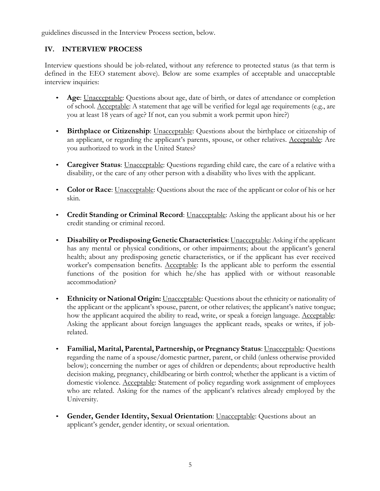guidelines discussed in the Interview Process section, below.

#### **IV. INTERVIEW PROCESS**

Interview questions should be job-related, without any reference to protected status (as that term is defined in the EEO statement above). Below are some examples of acceptable and unacceptable interview inquiries:

- **Age**: Unacceptable: Questions about age, date of birth, or dates of attendance or completion of school. Acceptable: A statement that age will be verified for legal age requirements (e.g., are you at least 18 years of age? If not, can you submit a work permit upon hire?)
- **Birthplace or Citizenship**: Unacceptable: Questions about the birthplace or citizenship of an applicant, or regarding the applicant's parents, spouse, or other relatives. Acceptable: Are you authorized to work in the United States?
- **Caregiver Status**: Unacceptable: Questions regarding child care, the care of a relative with a disability, or the care of any other person with a disability who lives with the applicant.
- **Color or Race**: Unacceptable: Questions about the race of the applicant or color of his or her skin.
- **Credit Standing or Criminal Record**: Unacceptable: Asking the applicant about his or her credit standing or criminal record.
- **Disability or Predisposing Genetic Characteristics**: Unacceptable: Asking if the applicant has any mental or physical conditions, or other impairments; about the applicant's general health; about any predisposing genetic characteristics, or if the applicant has ever received worker's compensation benefits. Acceptable: Is the applicant able to perform the essential functions of the position for which he/she has applied with or without reasonable accommodation?
- **Ethnicity or National Origin:** Unacceptable: Questions about the ethnicity or nationality of the applicant or the applicant's spouse, parent, or other relatives; the applicant's native tongue; how the applicant acquired the ability to read, write, or speak a foreign language. Acceptable: Asking the applicant about foreign languages the applicant reads, speaks or writes, if jobrelated.
- **Familial, Marital, Parental, Partnership, or Pregnancy Status**: Unacceptable: Questions regarding the name of a spouse/domestic partner, parent, or child (unless otherwise provided below); concerning the number or ages of children or dependents; about reproductive health decision making, pregnancy, childbearing or birth control; whether the applicant is a victim of domestic violence. Acceptable: Statement of policy regarding work assignment of employees who are related. Asking for the names of the applicant's relatives already employed by the University.
- **Gender, Gender Identity, Sexual Orientation**: Unacceptable: Questions about an applicant's gender, gender identity, or sexual orientation.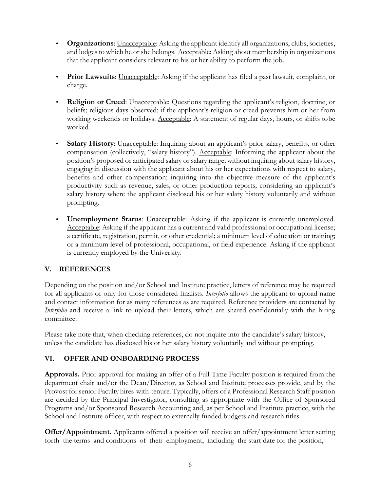- **Organizations**: Unacceptable: Asking the applicant identify all organizations, clubs, societies, and lodges to which he or she belongs. Acceptable: Asking about membership in organizations that the applicant considers relevant to his or her ability to perform the job.
- **Prior Lawsuits**: Unacceptable: Asking if the applicant has filed a past lawsuit, complaint, or charge.
- **Religion or Creed**: Unacceptable: Questions regarding the applicant's religion, doctrine, or beliefs; religious days observed; if the applicant's religion or creed prevents him or her from working weekends or holidays. Acceptable: A statement of regular days, hours, or shifts tobe worked.
- **Salary History**: Unacceptable: Inquiring about an applicant's prior salary, benefits, or other compensation (collectively, "salary history"). Acceptable: Informing the applicant about the position's proposed or anticipated salary or salary range; without inquiring about salary history, engaging in discussion with the applicant about his or her expectations with respect to salary, benefits and other compensation; inquiring into the objective measure of the applicant's productivity such as revenue, sales, or other production reports; considering an applicant's salary history where the applicant disclosed his or her salary history voluntarily and without prompting.
- **Unemployment Status**: Unacceptable: Asking if the applicant is currently unemployed. Acceptable: Asking if the applicant has a current and valid professional or occupational license; a certificate, registration, permit, or other credential; a minimum level of education or training; or a minimum level of professional, occupational, or field experience. Asking if the applicant is currently employed by the University.

# **V. REFERENCES**

Depending on the position and/or School and Institute practice, letters of reference may be required for all applicants or only for those considered finalists. *Interfolio* allows the applicant to upload name and contact information for as many references as are required. Reference providers are contacted by *Interfolio* and receive a link to upload their letters, which are shared confidentially with the hiring committee.

Please take note that, when checking references, do not inquire into the candidate's salary history, unless the candidate has disclosed his or her salary history voluntarily and without prompting.

# **VI. OFFER AND ONBOARDING PROCESS**

**Approvals.** Prior approval for making an offer of a Full-Time Faculty position is required from the department chair and/or the Dean/Director, as School and Institute processes provide, and by the Provost for senior Faculty hires-with-tenure. Typically, offers of a Professional Research Staff position are decided by the Principal Investigator, consulting as appropriate with the Office of Sponsored Programs and/or Sponsored Research Accounting and, as per School and Institute practice, with the School and Institute officer, with respect to externally funded budgets and research titles.

**Offer/Appointment.** Applicants offered a position will receive an offer/appointment letter setting forth the terms and conditions of their employment, including the start date for the position,